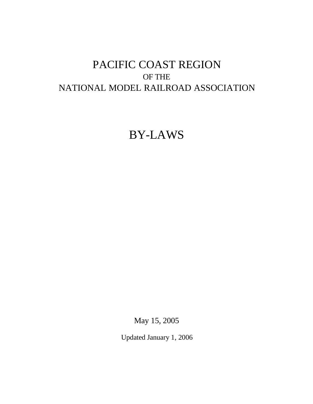# BY-LAWS

May 15, 2005

Updated January 1, 2006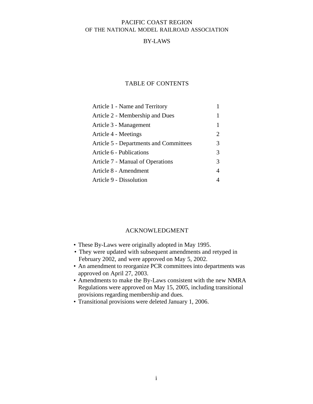#### BY-LAWS

#### TABLE OF CONTENTS

| Article 1 - Name and Territory         |   |
|----------------------------------------|---|
| Article 2 - Membership and Dues        | 1 |
| Article 3 - Management                 | 1 |
| Article 4 - Meetings                   | 2 |
| Article 5 - Departments and Committees | 3 |
| Article 6 - Publications               | 3 |
| Article 7 - Manual of Operations       | 3 |
| Article 8 - Amendment                  | 4 |
| Article 9 - Dissolution                |   |

#### ACKNOWLEDGMENT

- These By-Laws were originally adopted in May 1995.
- They were updated with subsequent amendments and retyped in February 2002, and were approved on May 5, 2002.
- An amendment to reorganize PCR committees into departments was approved on April 27, 2003.
- Amendments to make the By-Laws consistent with the new NMRA Regulations were approved on May 15, 2005, including transitional provisions regarding membership and dues.
- Transitional provisions were deleted January 1, 2006.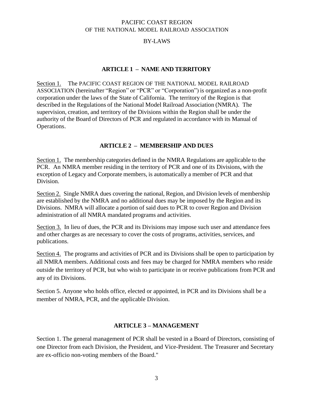## BY-LAWS

#### **ARTICLE 1 – NAME AND TERRITORY**

Section 1. The PACIFIC COAST REGION OF THE NATIONAL MODEL RAILROAD ASSOCIATION (hereinafter "Region" or "PCR" or "Corporation") is organized as a non-profit corporation under the laws of the State of California. The territory of the Region is that described in the Regulations of the National Model Railroad Association (NMRA). The supervision, creation, and territory of the Divisions within the Region shall be under the authority of the Board of Directors of PCR and regulated in accordance with its Manual of Operations.

#### **ARTICLE 2 – MEMBERSHIP AND DUES**

Section 1. The membership categories defined in the NMRA Regulations are applicable to the PCR. An NMRA member residing in the territory of PCR and one of its Divisions, with the exception of Legacy and Corporate members, is automatically a member of PCR and that Division.

Section 2. Single NMRA dues covering the national, Region, and Division levels of membership are established by the NMRA and no additional dues may be imposed by the Region and its Divisions. NMRA will allocate a portion of said dues to PCR to cover Region and Division administration of all NMRA mandated programs and activities.

Section 3. In lieu of dues, the PCR and its Divisions may impose such user and attendance fees and other charges as are necessary to cover the costs of programs, activities, services, and publications.

Section 4. The programs and activities of PCR and its Divisions shall be open to participation by all NMRA members. Additional costs and fees may be charged for NMRA members who reside outside the territory of PCR, but who wish to participate in or receive publications from PCR and any of its Divisions.

Section 5. Anyone who holds office, elected or appointed, in PCR and its Divisions shall be a member of NMRA, PCR, and the applicable Division.

## **ARTICLE 3 – MANAGEMENT**

Section 1. The general management of PCR shall be vested in a Board of Directors, consisting of one Director from each Division, the President, and Vice-President. The Treasurer and Secretary are ex-officio non-voting members of the Board."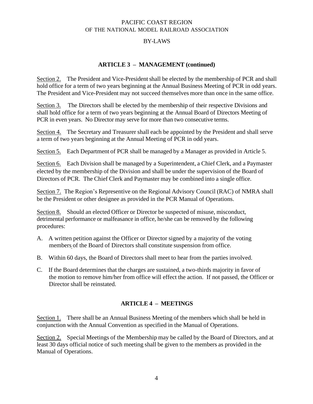## BY-LAWS

## **ARTICLE 3 – MANAGEMENT (continued)**

Section 2. The President and Vice-President shall be elected by the membership of PCR and shall hold office for a term of two years beginning at the Annual Business Meeting of PCR in odd years. The President and Vice-President may not succeed themselves more than once in the same office.

Section 3. The Directors shall be elected by the membership of their respective Divisions and shall hold office for a term of two years beginning at the Annual Board of Directors Meeting of PCR in even years. No Director may serve for more than two consecutive terms.

Section 4. The Secretary and Treasurer shall each be appointed by the President and shall serve a term of two years beginning at the Annual Meeting of PCR in odd years.

Section 5. Each Department of PCR shall be managed by a Manager as provided in Article 5.

Section 6. Each Division shall be managed by a Superintendent, a Chief Clerk, and a Paymaster elected by the membership of the Division and shall be under the supervision of the Board of Directors of PCR. The Chief Clerk and Paymaster may be combined into a single office.

Section 7. The Region's Representive on the Regional Advisory Council (RAC) of NMRA shall be the President or other designee as provided in the PCR Manual of Operations.

Section 8. Should an elected Officer or Director be suspected of misuse, misconduct, detrimental performance or malfeasance in office, he/she can be removed by the following procedures:

- A. A written petition against the Officer or Director signed by a majority of the voting members of the Board of Directors shall constitute suspension from office.
- B. Within 60 days, the Board of Directors shall meet to hear from the parties involved.
- C. If the Board determines that the charges are sustained, a two-thirds majority in favor of the motion to remove him/her from office will effect the action. If not passed, the Officer or Director shall be reinstated.

#### **ARTICLE 4 – MEETINGS**

Section 1. There shall be an Annual Business Meeting of the members which shall be held in conjunction with the Annual Convention as specified in the Manual of Operations.

Section 2. Special Meetings of the Membership may be called by the Board of Directors, and at least 30 days official notice of such meeting shall be given to the members as provided in the Manual of Operations.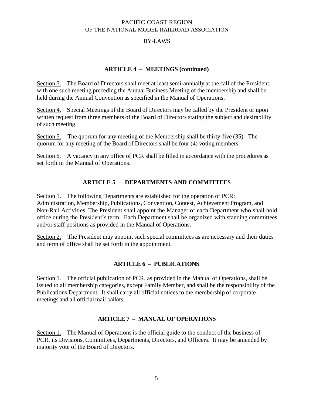## BY-LAWS

## **ARTICLE 4 – MEETINGS (continued)**

Section 3. The Board of Directors shall meet at least semi-annually at the call of the President, with one such meeting preceding the Annual Business Meeting of the membership and shall be held during the Annual Convention as specified in the Manual of Operations.

Section 4. Special Meetings of the Board of Directors may be called by the President or upon written request from three members of the Board of Directors stating the subject and desirability of such meeting.

Section 5. The quorum for any meeting of the Membership shall be thirty-five (35). The quorum for any meeting of the Board of Directorsshall be four (4) voting members.

Section 6. A vacancy in any office of PCR shall be filled in accordance with the procedures as set forth in the Manual of Operations.

## **ARTICLE 5 – DEPARTMENTS AND COMMITTEES**

Section 1. The following Departments are established for the operation of PCR: Administration, Membership, Publications, Convention, Contest, Achievement Program, and Non-Rail Activities. The President shall appoint the Manager of each Department who shall hold office during the President's term. Each Department shall be organized with standing committees and/or staff positions as provided in the Manual of Operations.

Section 2. The President may appoint such special committees as are necessary and their duties and term of office shall be set forth in the appointment.

## **ARTICLE 6 – PUBLICATIONS**

Section 1. The official publication of PCR, as provided in the Manual of Operations, shall be issued to all membership categories, except Family Member, and shall be the responsibility of the Publications Department. It shall carry all official notices to the membership of corporate meetings and all official mail ballots.

#### **ARTICLE 7 – MANUAL OF OPERATIONS**

Section 1. The Manual of Operations is the official guide to the conduct of the business of PCR, its Divisions, Committees, Departments, Directors, and Officers. It may be amended by majority vote of the Board of Directors.